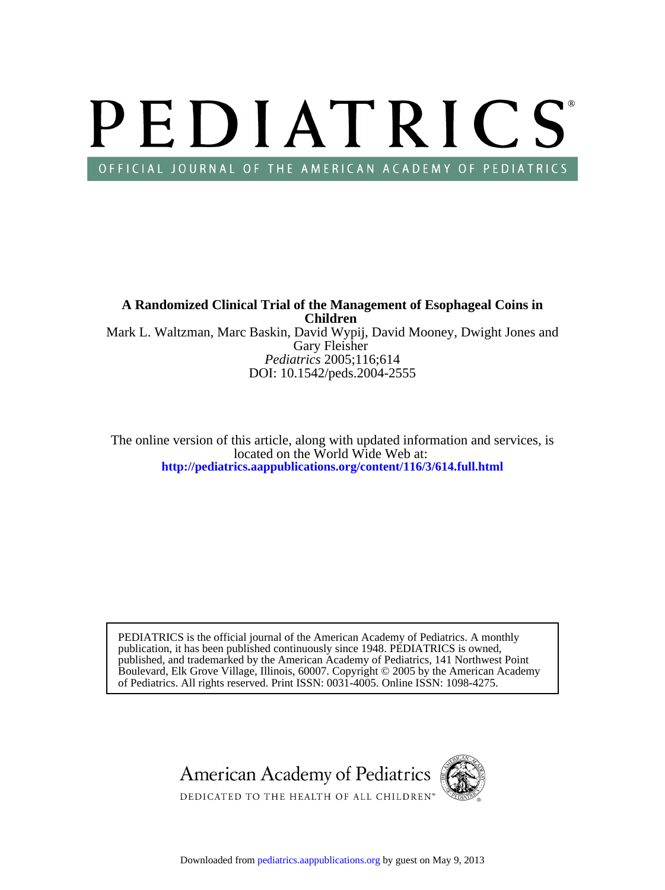# PEDIATRICS OFFICIAL JOURNAL OF THE AMERICAN ACADEMY OF PEDIATRICS

DOI: 10.1542/peds.2004-2555 *Pediatrics* 2005;116;614 Gary Fleisher Mark L. Waltzman, Marc Baskin, David Wypij, David Mooney, Dwight Jones and **Children A Randomized Clinical Trial of the Management of Esophageal Coins in**

**<http://pediatrics.aappublications.org/content/116/3/614.full.html>** located on the World Wide Web at: The online version of this article, along with updated information and services, is

of Pediatrics. All rights reserved. Print ISSN: 0031-4005. Online ISSN: 1098-4275. Boulevard, Elk Grove Village, Illinois, 60007. Copyright © 2005 by the American Academy published, and trademarked by the American Academy of Pediatrics, 141 Northwest Point publication, it has been published continuously since 1948. PEDIATRICS is owned, PEDIATRICS is the official journal of the American Academy of Pediatrics. A monthly



Downloaded from [pediatrics.aappublications.org](http://pediatrics.aappublications.org/) by guest on May 9, 2013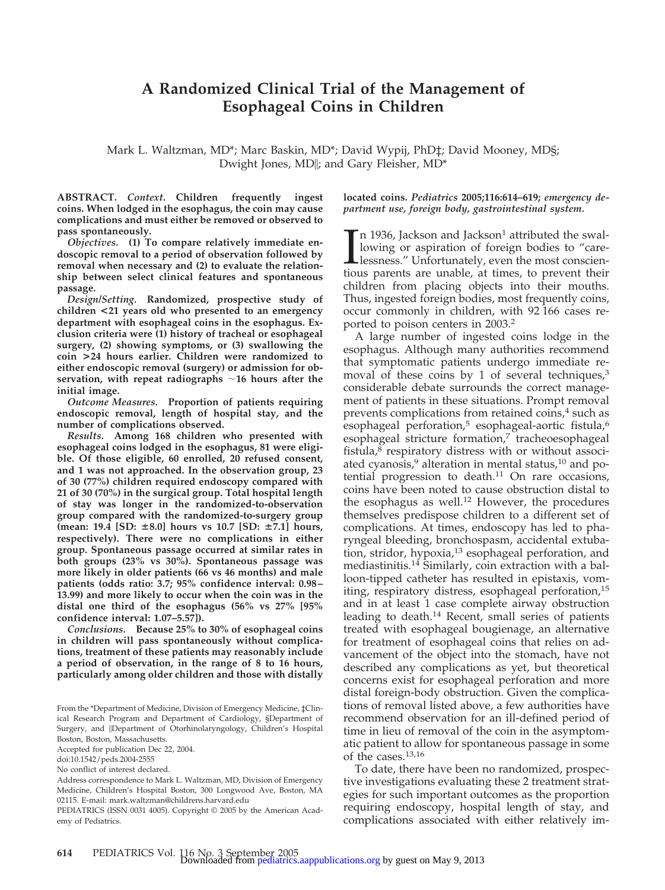# **A Randomized Clinical Trial of the Management of Esophageal Coins in Children**

Mark L. Waltzman, MD\*; Marc Baskin, MD\*; David Wypij, PhD‡; David Mooney, MD§; Dwight Jones, MD||; and Gary Fleisher, MD\*

**ABSTRACT.** *Context.* **Children frequently ingest coins. When lodged in the esophagus, the coin may cause complications and must either be removed or observed to pass spontaneously.**

*Objectives.* **(1) To compare relatively immediate endoscopic removal to a period of observation followed by removal when necessary and (2) to evaluate the relationship between select clinical features and spontaneous passage.**

*Design/Setting.* **Randomized, prospective study of children <21 years old who presented to an emergency department with esophageal coins in the esophagus. Exclusion criteria were (1) history of tracheal or esophageal surgery, (2) showing symptoms, or (3) swallowing the coin >24 hours earlier. Children were randomized to either endoscopic removal (surgery) or admission for observation, with repeat radiographs 16 hours after the initial image.**

*Outcome Measures.* **Proportion of patients requiring endoscopic removal, length of hospital stay, and the number of complications observed.**

*Results.* **Among 168 children who presented with esophageal coins lodged in the esophagus, 81 were eligible. Of those eligible, 60 enrolled, 20 refused consent, and 1 was not approached. In the observation group, 23 of 30 (77%) children required endoscopy compared with 21 of 30 (70%) in the surgical group. Total hospital length of stay was longer in the randomized-to-observation group compared with the randomized-to-surgery group (mean: 19.4 [SD: 8.0] hours vs 10.7 [SD: 7.1] hours, respectively). There were no complications in either group. Spontaneous passage occurred at similar rates in both groups (23% vs 30%). Spontaneous passage was more likely in older patients (66 vs 46 months) and male patients (odds ratio: 3.7; 95% confidence interval: 0.98 – 13.99) and more likely to occur when the coin was in the distal one third of the esophagus (56% vs 27% [95% confidence interval: 1.07–5.57]).**

*Conclusions.* **Because 25% to 30% of esophageal coins in children will pass spontaneously without complications, treatment of these patients may reasonably include a period of observation, in the range of 8 to 16 hours, particularly among older children and those with distally**

Accepted for publication Dec 22, 2004.

doi:10.1542/peds.2004-2555

No conflict of interest declared.

# **located coins.** *Pediatrics* **2005;116:614–619;** *emergency department use, foreign body, gastrointestinal system.*

In 1936, Jackson and Jackson<sup>1</sup> attributed the swallowing or aspiration of foreign bodies to "carellessness." Unfortunately, even the most conscientious parents are unable, at times, to prevent their  $\Gamma$ n 1936, Jackson and Jackson<sup>1</sup> attributed the swallowing or aspiration of foreign bodies to "carelessness." Unfortunately, even the most conscienchildren from placing objects into their mouths. Thus, ingested foreign bodies, most frequently coins, occur commonly in children, with 92 166 cases reported to poison centers in 2003.2

A large number of ingested coins lodge in the esophagus. Although many authorities recommend that symptomatic patients undergo immediate removal of these coins by 1 of several techniques, $3$ considerable debate surrounds the correct management of patients in these situations. Prompt removal prevents complications from retained coins,<sup>4</sup> such as esophageal perforation,<sup>5</sup> esophageal-aortic fistula,<sup>6</sup> esophageal stricture formation,<sup>7</sup> tracheoesophageal fistula, $8$  respiratory distress with or without associated cyanosis,<sup>9</sup> alteration in mental status,<sup>10</sup> and potential progression to death.<sup>11</sup> On rare occasions, coins have been noted to cause obstruction distal to the esophagus as well.<sup>12</sup> However, the procedures themselves predispose children to a different set of complications. At times, endoscopy has led to pharyngeal bleeding, bronchospasm, accidental extubation, stridor, hypoxia,<sup>13</sup> esophageal perforation, and mediastinitis.<sup>14</sup> Similarly, coin extraction with a balloon-tipped catheter has resulted in epistaxis, vomiting, respiratory distress, esophageal perforation,<sup>15</sup> and in at least 1 case complete airway obstruction leading to death.14 Recent, small series of patients treated with esophageal bougienage, an alternative for treatment of esophageal coins that relies on advancement of the object into the stomach, have not described any complications as yet, but theoretical concerns exist for esophageal perforation and more distal foreign-body obstruction. Given the complications of removal listed above, a few authorities have recommend observation for an ill-defined period of time in lieu of removal of the coin in the asymptomatic patient to allow for spontaneous passage in some of the cases.13,16

To date, there have been no randomized, prospective investigations evaluating these 2 treatment strategies for such important outcomes as the proportion requiring endoscopy, hospital length of stay, and complications associated with either relatively im-

From the \*Department of Medicine, Division of Emergency Medicine, ‡Clinical Research Program and Department of Cardiology, §Department of Surgery, and ||Department of Otorhinolaryngology, Children's Hospital Boston, Boston, Massachusetts.

Address correspondence to Mark L. Waltzman, MD, Division of Emergency Medicine, Children's Hospital Boston, 300 Longwood Ave, Boston, MA 02115. E-mail: mark.waltzman@childrens.harvard.edu

PEDIATRICS (ISSN 0031 4005). Copyright © 2005 by the American Academy of Pediatrics.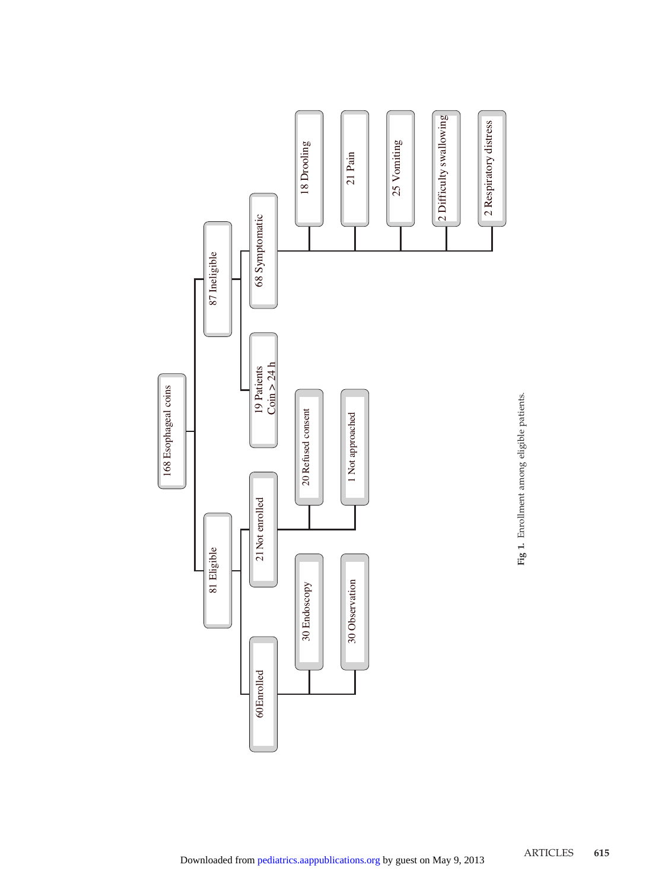

Fig 1. Enrollment among eligible patients. **Fig 1.** Enrollment among eligible patients.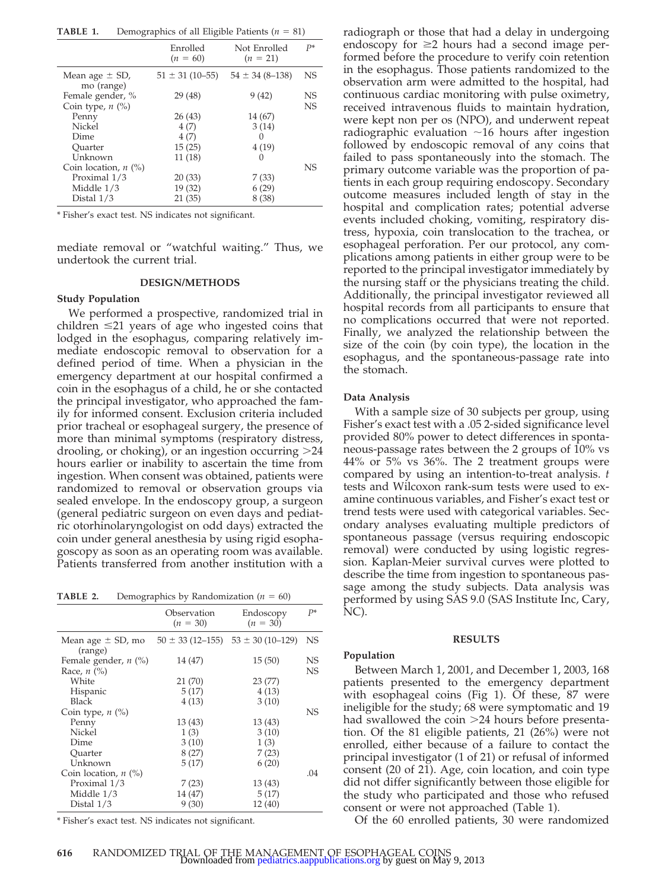**TABLE 1.** Demographics of all Eligible Patients ( $n = 81$ )

|                                  | Enrolled<br>$(n = 60)$ | Not Enrolled<br>$(n = 21)$ | $P^*$ |
|----------------------------------|------------------------|----------------------------|-------|
| Mean age $\pm$ SD,<br>mo (range) | $51 \pm 31 (10 - 55)$  | $54 \pm 34 (8 - 138)$      | NS    |
| Female gender, %                 | 29(48)                 | 9(42)                      | NS    |
| Coin type, $n$ (%)               |                        |                            | NS    |
| Penny                            | 26(43)                 | 14 (67)                    |       |
| Nickel                           | 4(7)                   | 3(14)                      |       |
| Dime                             | 4 (7)                  | $\left( \right)$           |       |
| Ouarter                          | 15(25)                 | 4(19)                      |       |
| Unknown                          | 11 (18)                |                            |       |
| Coin location, $n$ (%)           |                        |                            | NS    |
| Proximal 1/3                     | 20(33)                 | 7(33)                      |       |
| Middle 1/3                       | 19 (32)                | 6(29)                      |       |
| Distal $1/3$                     | 21(35)                 | 8 (38)                     |       |

\* Fisher's exact test. NS indicates not significant.

mediate removal or "watchful waiting." Thus, we undertook the current trial.

#### **DESIGN/METHODS**

### **Study Population**

We performed a prospective, randomized trial in children  $\leq$ 21 years of age who ingested coins that lodged in the esophagus, comparing relatively immediate endoscopic removal to observation for a defined period of time. When a physician in the emergency department at our hospital confirmed a coin in the esophagus of a child, he or she contacted the principal investigator, who approached the family for informed consent. Exclusion criteria included prior tracheal or esophageal surgery, the presence of more than minimal symptoms (respiratory distress, drooling, or choking), or an ingestion occurring >24 hours earlier or inability to ascertain the time from ingestion. When consent was obtained, patients were randomized to removal or observation groups via sealed envelope. In the endoscopy group, a surgeon (general pediatric surgeon on even days and pediatric otorhinolaryngologist on odd days) extracted the coin under general anesthesia by using rigid esophagoscopy as soon as an operating room was available. Patients transferred from another institution with a

**TABLE 2.** Demographics by Randomization  $(n = 60)$ 

|                                  | Observation<br>$(n = 30)$                 | Endoscopy<br>$(n = 30)$ | $P*$ |
|----------------------------------|-------------------------------------------|-------------------------|------|
| Mean age $\pm$ SD, mo<br>(range) | $50 \pm 33$ (12–155) $53 \pm 30$ (10–129) |                         | NS   |
| Female gender, $n$ (%)           | 14 (47)                                   | 15(50)                  | NS   |
| Race, $n$ (%)                    |                                           |                         | NS   |
| White                            | 21 (70)                                   | 23 (77)                 |      |
| Hispanic                         | 5(17)                                     | 4(13)                   |      |
| Black                            | 4(13)                                     | 3(10)                   |      |
| Coin type, $n$ (%)               |                                           |                         | NS   |
| Penny                            | 13 (43)                                   | 13 (43)                 |      |
| Nickel                           | 1(3)                                      | 3(10)                   |      |
| Dime                             | 3(10)                                     | 1(3)                    |      |
| Ouarter                          | 8(27)                                     | 7(23)                   |      |
| Unknown                          | 5(17)                                     | 6(20)                   |      |
| Coin location, $n$ (%)           |                                           |                         | .04  |
| Proximal 1/3                     | 7(23)                                     | 13(43)                  |      |
| Middle 1/3                       | 14 (47)                                   | 5(17)                   |      |
| Distal 1/3                       | 9 (30)                                    | 12 (40)                 |      |

\* Fisher's exact test. NS indicates not significant.

radiograph or those that had a delay in undergoing endoscopy for  $\geq 2$  hours had a second image performed before the procedure to verify coin retention in the esophagus. Those patients randomized to the observation arm were admitted to the hospital, had continuous cardiac monitoring with pulse oximetry, received intravenous fluids to maintain hydration, were kept non per os (NPO), and underwent repeat radiographic evaluation  $\sim$ 16 hours after ingestion followed by endoscopic removal of any coins that failed to pass spontaneously into the stomach. The primary outcome variable was the proportion of patients in each group requiring endoscopy. Secondary outcome measures included length of stay in the hospital and complication rates; potential adverse events included choking, vomiting, respiratory distress, hypoxia, coin translocation to the trachea, or esophageal perforation. Per our protocol, any complications among patients in either group were to be reported to the principal investigator immediately by the nursing staff or the physicians treating the child. Additionally, the principal investigator reviewed all hospital records from all participants to ensure that no complications occurred that were not reported. Finally, we analyzed the relationship between the size of the coin (by coin type), the location in the esophagus, and the spontaneous-passage rate into the stomach.

## **Data Analysis**

With a sample size of 30 subjects per group, using Fisher's exact test with a .05 2-sided significance level provided 80% power to detect differences in spontaneous-passage rates between the 2 groups of 10% vs 44% or 5% vs 36%. The 2 treatment groups were compared by using an intention-to-treat analysis. *t* tests and Wilcoxon rank-sum tests were used to examine continuous variables, and Fisher's exact test or trend tests were used with categorical variables. Secondary analyses evaluating multiple predictors of spontaneous passage (versus requiring endoscopic removal) were conducted by using logistic regression. Kaplan-Meier survival curves were plotted to describe the time from ingestion to spontaneous passage among the study subjects. Data analysis was performed by using SAS 9.0 (SAS Institute Inc, Cary, NC).

# **Population**

# **RESULTS**

Between March 1, 2001, and December 1, 2003, 168 patients presented to the emergency department with esophageal coins (Fig 1). Of these, 87 were ineligible for the study; 68 were symptomatic and 19 had swallowed the coin >24 hours before presentation. Of the 81 eligible patients, 21 (26%) were not enrolled, either because of a failure to contact the principal investigator (1 of 21) or refusal of informed consent (20 of 21). Age, coin location, and coin type did not differ significantly between those eligible for the study who participated and those who refused consent or were not approached (Table 1).

Of the 60 enrolled patients, 30 were randomized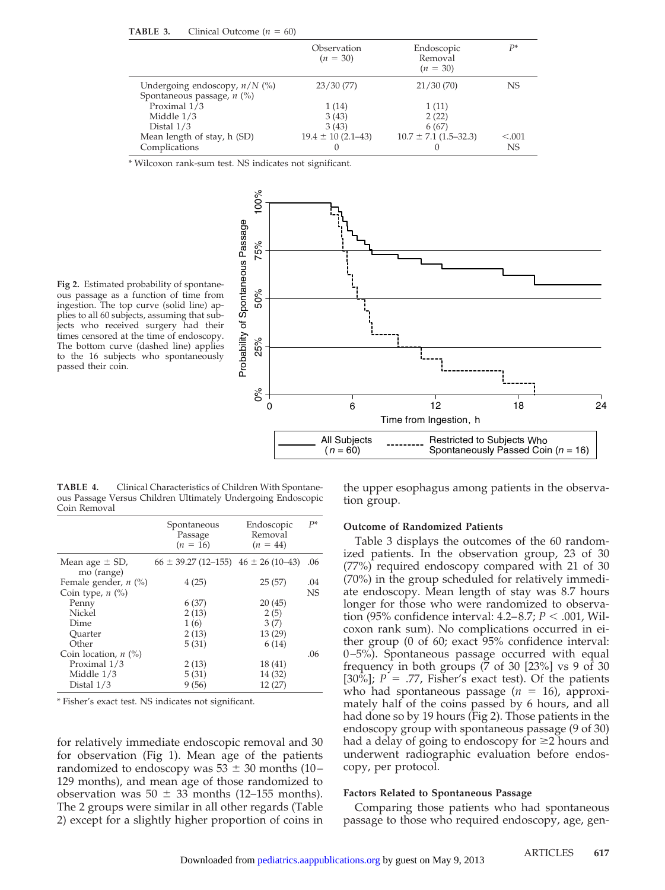|                                                               | Observation<br>$(n = 30)$ | Endoscopic<br>Removal<br>$(n = 30)$ | $D*$    |
|---------------------------------------------------------------|---------------------------|-------------------------------------|---------|
| Undergoing endoscopy, $n/N$ (%)<br>Spontaneous passage, n (%) | 23/30(77)                 | 21/30(70)                           | NS      |
| Proximal 1/3                                                  | 1(14)                     | 1(11)                               |         |
| Middle 1/3                                                    | 3(43)                     | 2(22)                               |         |
| Distal $1/3$                                                  | 3(43)                     | 6(67)                               |         |
| Mean length of stay, h (SD)                                   | $19.4 \pm 10(2.1 - 43)$   | $10.7 \pm 7.1$ (1.5–32.3)           | < 0.001 |
| Complications                                                 |                           |                                     | NS      |

**TABLE 3.** Clinical Outcome  $(n = 60)$ 

\* Wilcoxon rank-sum test. NS indicates not significant.



**Fig 2.** Estimated probability of spontaneous passage as a function of time from ingestion. The top curve (solid line) applies to all 60 subjects, assuming that subjects who received surgery had their times censored at the time of endoscopy. The bottom curve (dashed line) applies to the 16 subjects who spontaneously passed their coin.

**TABLE 4.** Clinical Characteristics of Children With Spontaneous Passage Versus Children Ultimately Undergoing Endoscopic Coin Removal

|                        | Spontaneous<br>Passage<br>$(n = 16)$        | Endoscopic<br>Removal<br>$(n = 44)$ | $P*$      |
|------------------------|---------------------------------------------|-------------------------------------|-----------|
| Mean age $\pm$ SD,     | $66 \pm 39.27$ (12–155) $46 \pm 26$ (10–43) |                                     | .06       |
| mo (range)             |                                             |                                     |           |
| Female gender, $n$ (%) | 4(25)                                       | 25(57)                              | .04       |
| Coin type, $n$ (%)     |                                             |                                     | <b>NS</b> |
| Penny                  | 6 (37)                                      | 20 (45)                             |           |
| Nickel                 | 2(13)                                       | 2(5)                                |           |
| Dime                   | 1(6)                                        | 3(7)                                |           |
| Ouarter                | 2(13)                                       | 13(29)                              |           |
| Other                  | 5(31)                                       | 6(14)                               |           |
| Coin location, $n$ (%) |                                             |                                     | .06       |
| Proximal 1/3           | 2(13)                                       | 18(41)                              |           |
| Middle 1/3             | 5(31)                                       | 14 (32)                             |           |
| Distal 1/3             | 9(56)                                       | 12(27)                              |           |

\* Fisher's exact test. NS indicates not significant.

for relatively immediate endoscopic removal and 30 for observation (Fig 1). Mean age of the patients randomized to endoscopy was  $53 \pm 30$  months (10– 129 months), and mean age of those randomized to observation was  $50 \pm 33$  months (12–155 months). The 2 groups were similar in all other regards (Table 2) except for a slightly higher proportion of coins in the upper esophagus among patients in the observation group.

#### **Outcome of Randomized Patients**

Table 3 displays the outcomes of the 60 randomized patients. In the observation group, 23 of 30 (77%) required endoscopy compared with 21 of 30 (70%) in the group scheduled for relatively immediate endoscopy. Mean length of stay was 8.7 hours longer for those who were randomized to observation (95% confidence interval:  $4.2 - 8.7$ ;  $P < .001$ , Wilcoxon rank sum). No complications occurred in either group (0 of 60; exact 95% confidence interval: 0 –5%). Spontaneous passage occurred with equal frequency in both groups (7 of 30 [23%] vs 9 of 30 [30%];  $P = .77$ , Fisher's exact test). Of the patients who had spontaneous passage  $(n = 16)$ , approximately half of the coins passed by 6 hours, and all had done so by 19 hours (Fig 2). Those patients in the endoscopy group with spontaneous passage (9 of 30) had a delay of going to endoscopy for  $\geq$ 2 hours and underwent radiographic evaluation before endoscopy, per protocol.

## **Factors Related to Spontaneous Passage**

Comparing those patients who had spontaneous passage to those who required endoscopy, age, gen-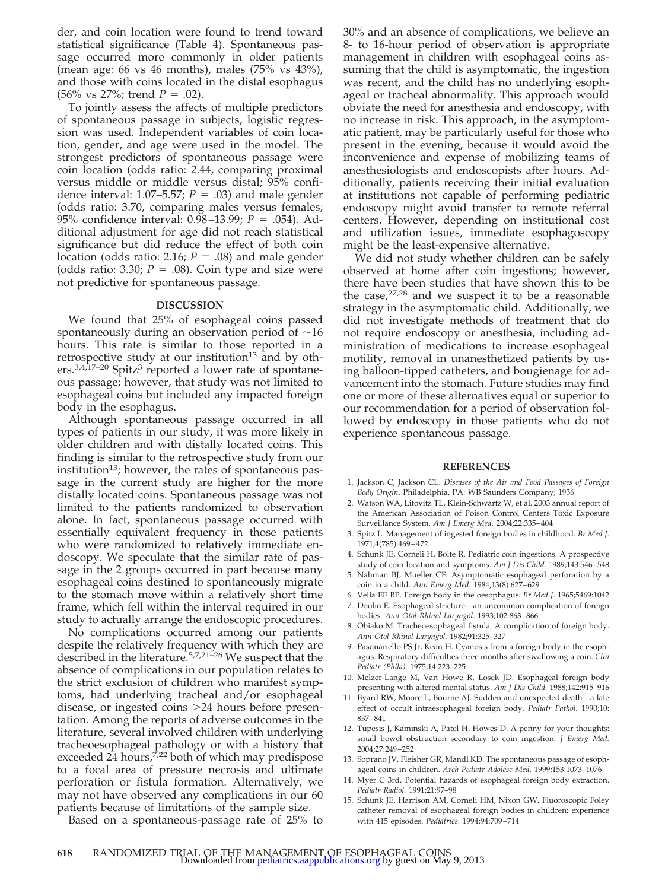der, and coin location were found to trend toward statistical significance (Table 4). Spontaneous passage occurred more commonly in older patients (mean age: 66 vs 46 months), males (75% vs 43%), and those with coins located in the distal esophagus (56% vs  $27\%$ ; trend  $P = .02$ ).

To jointly assess the affects of multiple predictors of spontaneous passage in subjects, logistic regression was used. Independent variables of coin location, gender, and age were used in the model. The strongest predictors of spontaneous passage were coin location (odds ratio: 2.44, comparing proximal versus middle or middle versus distal; 95% confidence interval: 1.07–5.57;  $P = .03$ ) and male gender (odds ratio: 3.70, comparing males versus females; 95% confidence interval: 0.98–13.99; *P* = .054). Additional adjustment for age did not reach statistical significance but did reduce the effect of both coin location (odds ratio: 2.16;  $P = .08$ ) and male gender (odds ratio: 3.30;  $P = .08$ ). Coin type and size were not predictive for spontaneous passage.

## **DISCUSSION**

We found that 25% of esophageal coins passed spontaneously during an observation period of  $\sim$ 16 hours. This rate is similar to those reported in a retrospective study at our institution $13$  and by others.<sup>3,4,17-20</sup> Spitz<sup>3</sup> reported a lower rate of spontaneous passage; however, that study was not limited to esophageal coins but included any impacted foreign body in the esophagus.

Although spontaneous passage occurred in all types of patients in our study, it was more likely in older children and with distally located coins. This finding is similar to the retrospective study from our institution<sup>13</sup>; however, the rates of spontaneous passage in the current study are higher for the more distally located coins. Spontaneous passage was not limited to the patients randomized to observation alone. In fact, spontaneous passage occurred with essentially equivalent frequency in those patients who were randomized to relatively immediate endoscopy. We speculate that the similar rate of passage in the 2 groups occurred in part because many esophageal coins destined to spontaneously migrate to the stomach move within a relatively short time frame, which fell within the interval required in our study to actually arrange the endoscopic procedures.

No complications occurred among our patients despite the relatively frequency with which they are described in the literature.5,7,21–26 We suspect that the absence of complications in our population relates to the strict exclusion of children who manifest symptoms, had underlying tracheal and/or esophageal disease, or ingested coins > 24 hours before presentation. Among the reports of adverse outcomes in the literature, several involved children with underlying tracheoesophageal pathology or with a history that exceeded 24 hours,<sup>7,22</sup> both of which may predispose to a focal area of pressure necrosis and ultimate perforation or fistula formation. Alternatively, we may not have observed any complications in our 60 patients because of limitations of the sample size.

30% and an absence of complications, we believe an 8- to 16-hour period of observation is appropriate management in children with esophageal coins assuming that the child is asymptomatic, the ingestion was recent, and the child has no underlying esophageal or tracheal abnormality. This approach would obviate the need for anesthesia and endoscopy, with no increase in risk. This approach, in the asymptomatic patient, may be particularly useful for those who present in the evening, because it would avoid the inconvenience and expense of mobilizing teams of anesthesiologists and endoscopists after hours. Additionally, patients receiving their initial evaluation at institutions not capable of performing pediatric endoscopy might avoid transfer to remote referral centers. However, depending on institutional cost and utilization issues, immediate esophagoscopy might be the least-expensive alternative.

We did not study whether children can be safely observed at home after coin ingestions; however, there have been studies that have shown this to be the case, $27,28$  and we suspect it to be a reasonable strategy in the asymptomatic child. Additionally, we did not investigate methods of treatment that do not require endoscopy or anesthesia, including administration of medications to increase esophageal motility, removal in unanesthetized patients by using balloon-tipped catheters, and bougienage for advancement into the stomach. Future studies may find one or more of these alternatives equal or superior to our recommendation for a period of observation followed by endoscopy in those patients who do not experience spontaneous passage.

#### **REFERENCES**

- 1. Jackson C, Jackson CL. *Diseases of the Air and Food Passages of Foreign Body Origin*. Philadelphia, PA: WB Saunders Company; 1936
- 2. Watson WA, Litovitz TL, Klein-Schwartz W, et al. 2003 annual report of the American Association of Poison Control Centers Toxic Exposure Surveillance System. *Am J Emerg Med.* 2004;22:335– 404
- 3. Spitz L. Management of ingested foreign bodies in childhood. *Br Med J.* 1971;4(785):469 – 472
- 4. Schunk JE, Corneli H, Bolte R. Pediatric coin ingestions. A prospective study of coin location and symptoms. *Am J Dis Child.* 1989;143:546 –548
- 5. Nahman BJ, Mueller CF. Asymptomatic esophageal perforation by a coin in a child. *Ann Emerg Med.* 1984;13(8):627– 629
- 6. Vella EE BP. Foreign body in the oesophagus. *Br Med J.* 1965;5469:1042
- 7. Doolin E. Esophageal stricture—an uncommon complication of foreign bodies. *Ann Otol Rhinol Laryngol.* 1993;102:863– 866
- 8. Obiako M. Tracheoesophageal fistula. A complication of foreign body. *Ann Otol Rhinol Laryngol.* 1982;91:325–327
- 9. Pasquariello PS Jr, Kean H. Cyanosis from a foreign body in the esophagus. Respiratory difficulties three months after swallowing a coin. *Clin Pediatr (Phila).* 1975;14:223–225
- 10. Melzer-Lange M, Van Howe R, Losek JD. Esophageal foreign body presenting with altered mental status. *Am J Dis Child.* 1988;142:915–916
- 11. Byard RW, Moore L, Bourne AJ. Sudden and unexpected death—a late effect of occult intraesophageal foreign body. *Pediatr Pathol.* 1990;10: 837– 841
- 12. Tupesis J, Kaminski A, Patel H, Howes D. A penny for your thoughts: small bowel obstruction secondary to coin ingestion. *J Emerg Med.* 2004;27:249 –252
- 13. Soprano JV, Fleisher GR, Mandl KD. The spontaneous passage of esophageal coins in children. *Arch Pediatr Adolesc Med.* 1999;153:1073–1076
- 14. Myer C 3rd. Potential hazards of esophageal foreign body extraction. *Pediatr Radiol.* 1991;21:97–98
- 15. Schunk JE, Harrison AM, Corneli HM, Nixon GW. Fluoroscopic Foley catheter removal of esophageal foreign bodies in children: experience with 415 episodes. *Pediatrics.* 1994;94:709 –714

Based on a spontaneous-passage rate of 25% to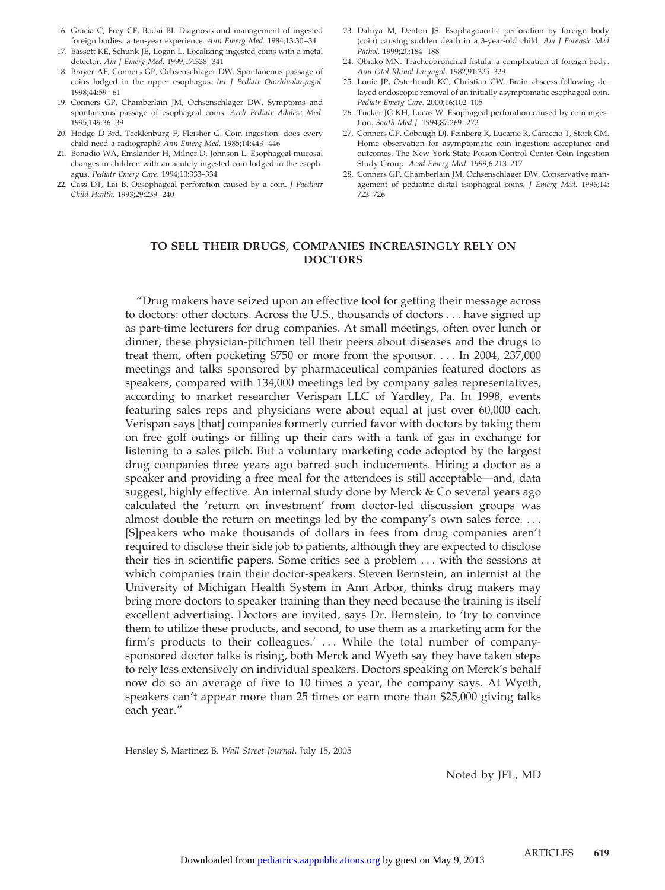- 16. Gracia C, Frey CF, Bodai BI. Diagnosis and management of ingested foreign bodies: a ten-year experience. *Ann Emerg Med.* 1984;13:30 –34
- 17. Bassett KE, Schunk JE, Logan L. Localizing ingested coins with a metal detector. *Am J Emerg Med.* 1999;17:338 –341
- 18. Brayer AF, Conners GP, Ochsenschlager DW. Spontaneous passage of coins lodged in the upper esophagus. *Int J Pediatr Otorhinolaryngol.* 1998;44:59 – 61
- 19. Conners GP, Chamberlain JM, Ochsenschlager DW. Symptoms and spontaneous passage of esophageal coins. *Arch Pediatr Adolesc Med.* 1995;149:36 –39
- 20. Hodge D 3rd, Tecklenburg F, Fleisher G. Coin ingestion: does every child need a radiograph? *Ann Emerg Med.* 1985;14:443– 446
- 21. Bonadio WA, Emslander H, Milner D, Johnson L. Esophageal mucosal changes in children with an acutely ingested coin lodged in the esophagus. *Pediatr Emerg Care.* 1994;10:333–334
- 22. Cass DT, Lai B. Oesophageal perforation caused by a coin. *J Paediatr Child Health.* 1993;29:239 –240
- 23. Dahiya M, Denton JS. Esophagoaortic perforation by foreign body (coin) causing sudden death in a 3-year-old child. *Am J Forensic Med Pathol.* 1999;20:184 –188
- 24. Obiako MN. Tracheobronchial fistula: a complication of foreign body. *Ann Otol Rhinol Laryngol.* 1982;91:325–329
- 25. Louie JP, Osterhoudt KC, Christian CW. Brain abscess following delayed endoscopic removal of an initially asymptomatic esophageal coin. *Pediatr Emerg Care.* 2000;16:102–105
- 26. Tucker JG KH, Lucas W. Esophageal perforation caused by coin ingestion. *South Med J.* 1994;87:269 –272
- 27. Conners GP, Cobaugh DJ, Feinberg R, Lucanie R, Caraccio T, Stork CM. Home observation for asymptomatic coin ingestion: acceptance and outcomes. The New York State Poison Control Center Coin Ingestion Study Group. *Acad Emerg Med.* 1999;6:213–217
- 28. Conners GP, Chamberlain JM, Ochsenschlager DW. Conservative management of pediatric distal esophageal coins. *J Emerg Med.* 1996;14: 723–726

# **TO SELL THEIR DRUGS, COMPANIES INCREASINGLY RELY ON DOCTORS**

"Drug makers have seized upon an effective tool for getting their message across to doctors: other doctors. Across the U.S., thousands of doctors . . . have signed up as part-time lecturers for drug companies. At small meetings, often over lunch or dinner, these physician-pitchmen tell their peers about diseases and the drugs to treat them, often pocketing \$750 or more from the sponsor. . . . In 2004, 237,000 meetings and talks sponsored by pharmaceutical companies featured doctors as speakers, compared with 134,000 meetings led by company sales representatives, according to market researcher Verispan LLC of Yardley, Pa. In 1998, events featuring sales reps and physicians were about equal at just over 60,000 each. Verispan says [that] companies formerly curried favor with doctors by taking them on free golf outings or filling up their cars with a tank of gas in exchange for listening to a sales pitch. But a voluntary marketing code adopted by the largest drug companies three years ago barred such inducements. Hiring a doctor as a speaker and providing a free meal for the attendees is still acceptable—and, data suggest, highly effective. An internal study done by Merck & Co several years ago calculated the 'return on investment' from doctor-led discussion groups was almost double the return on meetings led by the company's own sales force. . . . [S]peakers who make thousands of dollars in fees from drug companies aren't required to disclose their side job to patients, although they are expected to disclose their ties in scientific papers. Some critics see a problem . . . with the sessions at which companies train their doctor-speakers. Steven Bernstein, an internist at the University of Michigan Health System in Ann Arbor, thinks drug makers may bring more doctors to speaker training than they need because the training is itself excellent advertising. Doctors are invited, says Dr. Bernstein, to 'try to convince them to utilize these products, and second, to use them as a marketing arm for the firm's products to their colleagues.' ... While the total number of companysponsored doctor talks is rising, both Merck and Wyeth say they have taken steps to rely less extensively on individual speakers. Doctors speaking on Merck's behalf now do so an average of five to 10 times a year, the company says. At Wyeth, speakers can't appear more than 25 times or earn more than \$25,000 giving talks each year."

Hensley S, Martinez B. *Wall Street Journal*. July 15, 2005

Noted by JFL, MD